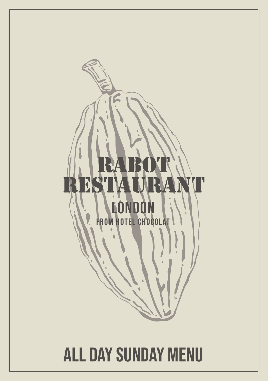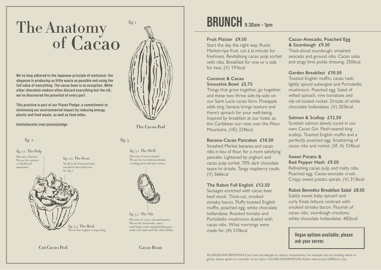# The Anatomy of Cacao

We've long adhered to the Japanese principle of mottainai: the elegance in producing as little waste as possible and using the full value of everything. The cacao bean is no exception. While other chocolate-makers often discard everything but the nib, we've discovered the potential of every part.

This practice is part of our Planet Pledge: a commitment to minimising our environmental impact by reducing energy, plastic and food waste, as well as food miles.

hotelchocolat.com/planetpledge

### fig.  $2$

fig. 2.1 The Pulp Flavours of lychee. We use for: sorbets. cocktails and marinades.

fig. 2.2 The Bean

### Needs to be fermented and sun dried, then delicious. See fig 3.

fig. 2.3 The Husk We use for: organic composting.



**The Cacao Pod**

fig.  $3$ 

fig. 3.1 The Shell Flavours of: toast, umami. We use for: tea infusion drinks cooking stock and spice mixes.



fig. 3.2 The Nib Flavours of: cacao, oak and tannins. We use for: marinades, sauce enriching, crusts, and grinding up to make chocolate and chocolate drinks.

**Caca0 Bean**

## BRUNCH 9.30am – 1pm

#### **Fruit Platter £9.50**

Start the day the right way. Rustic Market-ripe fruit, cut à la minute for freshness. Revitalising cacao pulp sorbet with nibs. Breakfast for one or a side for two. (V) 191kcal

### **Coconut & Cacao Smoothie Bowl £5.75**

Things that grow together, go together, and these two thrive side-by-side on our Saint Lucia cacao farm. Pineapple adds zing, banana brings texture and there's spinach for your well-being. Inspired by breakfast at our hotel, as the Caribbean sun rises over the Piton Mountains. (VE) 224kcal

#### **Banana-Cacao Pancakes £10.50**

Smashed Market bananas and cacao nibs in lieu of flour, for a more satisfying pancake. Lightened by yoghurt and cacao pulp sorbet. 70% dark chocolate sauce to drizzle. Tangy raspberry coulis. (V) 566kcal

### **The Rabot Full English £12.50**

Sausages enriched with cacao beer beef stock. Thick-cut, smoked streaky bacon. Fluffy toasted English muffin, poached egg, white chocolate hollandaise. Roasted tomato and Portobello mushroom dusted with cacao nibs. What mornings were made for. (A) 510kcal

### **Cacao-Avocado, Poached Egg & Sourdough £9.50**

Thick-sliced sourdough, smashed avocado and ground nibs. Cacao salsa and zingy lime pickle dressing. 250kcal

### **Garden Breakfast £10.50**

Toasted English muffin, cacao hash, lightly spiced aubergine and Portobello mushroom. Poached egg. Salad of wilted spinach, vine tomatoes and nib-oil tossed rocket. Drizzle of white chocolate hollandaise. (V) 203kcal

### **Salmon & Scallop £12.50**

Scottish salmon slowly cured in our own Cacao Gin. Flash-seared king scallop. Toasted English muffin and a perfectly poached egg. Smattering of cacao nibs and rocket. (SF, A) 324kcal

### **Sweet Potato & Red Pepper Hash £9.50**

Refreshing cacao pulp and malty nibs. Poached egg. Cacao-avocado crush. Crispy sweet potato spirals. (V) 313kcal

### **Rabot Benedict Breakfast Salad £8.50**

Subtly sweet baby spinach and curly frisée lettuce contrast with smoked streaky bacon. Flourish of cacao nibs, sourdough croutons, white chocolate hollandaise. 482kcal

**Vegan options available; please ask your server.**

ALLERGEN INFORMATION If you have any allergies or dietary requirements, for example you are avoiding wheat or gluten, please speak to a member of our team. CALORIE INFORMATION Adults need around 2000kcal a day.

**Cut Caca0 Pod**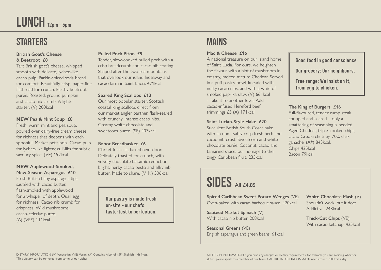# LUNCH 12pm – 5pm

### **STARTERS**

### **British Goat's Cheese & Beetroot £8**

Tart British goat's cheese, whipped smooth with delicate, lychee-like cacao pulp. Parkin-spiced soda bread for comfort. Beautifully crisp, paper-fine flatbread for crunch. Earthy beetroot purée. Roasted, ground pumpkin and cacao nib crumb. A lighter starter. (V) 200kcal

### **NEW Pea & Mint Soup £8**

Fresh, warm mint and pea soup, poured over dairy-free cream cheese for richness that deepens with each spoonful. Market petit pois. Cacao pulp for lychee-like lightness. Nibs for subtle savoury spice. (VE) 192kcal

### **NEW Applewood-Smoked, New-Season Asparagus £10**

Fresh British baby asparagus tips, sautéed with cacao butter, flash-smoked with applewood for a whisper of depth. Quail egg for richness. Cacao nib crumb for crispness. Wild mushrooms, cacao-celeriac purée. (A) (VE\*) 111kcal

### **Pulled Pork Piton £9**

Tender, slow-cooked pulled pork with a crisp breadcrumb and cacao nib coating. Shaped after the two sea mountains that overlook our island hideaway and cacao farm in Saint Lucia. 471kcal

### **Seared King Scallops £13**

Our most popular starter. Scottish coastal king scallops direct from our market angler partner, flash-seared with crunchy, intense cacao nibs. Creamy white chocolate and sweetcorn purée. (SF) 407kcal

### **Rabot Breadbasket £6**

Market focaccia, baked next door. Delicately toasted for crunch, with velvety chocolate balsamic reduction, bright, herby cacao pesto and silky nib butter. Made to share. (V, N) 506kcal

Our pastry is made fresh on-site – our chefs taste-test to perfection.

### MAINS

### **Mac & Cheese £16**

A national treasure on our island home of Saint Lucia. For ours, we heighten the flavour with a hint of mushroom in creamy, melted mature Cheddar. Served in a puff pastry bowl, kneaded with nutty cacao nibs, and with a whirl of smoked paprika slaw. (V) 661kcal - Take it to another level. Add cacao-infused Hereford beef trimmings £5 (A) 171kcal

### **Saint Lucian-Style Hake £20**

Succulent British South Coast hake with an unmissably crisp fresh herb and cacao nib crust. Sweetcorn and white chocolate purée. Coconut, cacao and tamarind sauce: our homage to the zingy Caribbean fruit. 235kcal

# **SIDES AII** £4.85

**Spiced Caribbean Sweet Potato Wedges** (VE) Oven-baked with cacao barbecue sauce. 420kcal

**Sautéed Market Spinach** (V) With cacao nib butter. 208kcal

**Seasonal Greens** (VE) English asparagus and green beans. 61kcal Good food in good conscience

Our grocery: Our neighbours.

Free range: We insist on it, from egg to chicken.

### **The King of Burgers £16**

Full-flavoured, tender rump steak, chopped and seared – only a smattering of seasoning is needed. Aged Cheddar, triple-cooked chips, cacao Creole chutney, 70% dark ganache. (A\*) 843kcal. Chips 425kcal Bacon 79kcal

### **White Chocolate Mash** (V) Shouldn't work, but it does. Addictive. 248kcal

**Thick-Cut Chips** (VE) With cacao ketchup. 425kcal

ALLERGEN INFORMATION If you have any allergies or dietary requirements, for example you are avoiding wheat or gluten, please speak to a member of our team. CALORIE INFORMATION Adults need around 2000kcal a day.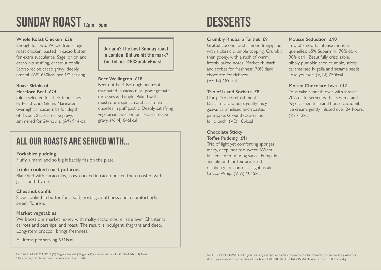# SUNDAY ROAST 12pm – 5pm

### **Whole Roast Chicken £36**

Enough for two. Whole free-range roast chicken, basted in cacao butter for extra succulence. Sage, onion and cacao nib stuffing, chestnut confit. Secret-recipe cacao gravy: deeply umami. (A\*) 650kcal per 1/2 serving.

### **Roast Sirloin of Hereford Beef £24**

Joints selected for their tenderness by Head Chef Glenn. Marinated overnight in cacao nibs for depth of flavour. Secret-recipe gravy, simmered for 24-hours. (A\*) 914kcal Our aim? The best Sunday roast in London. Did we hit the mark? You tell us. #HCSundayRoast

### **Beet Wellington £18**

Beet not beef. Borough beetroot marinated in cacao nibs, pomegranate molasses and apple. Baked with mushroom, spinach and cacao nib duxelles in puff pastry. Deeply satisfying vegetarian twist on our secret recipe gravy. (V, N) 646kcal

### All our roasts are served with…

**Yorkshire pudding**

Fluffy, umami and so big it barely fits on the plate.

### **Triple-cooked roast potatoes**

Blanched with cacao nibs, slow-cooked in cacao butter, then roasted with garlic and thyme.

### **Chestnut confit**

Slow-cooked in butter for a soft, nostalgic nuttiness and a comfortingly sweet flourish.

### **Market vegetables**

We boost our market honey with malty cacao nibs, drizzle over Chantenay carrots and parsnips, and roast. The result is indulgent, fragrant and deep. Long-stem broccoli brings freshness.

All items per serving 631kcal

DESSERTS

### **Crumbly Rhubarb Tartlet £9**

Grated coconut and almond frangipane with a classic crumble topping. Crumbly then gooey, with a rush of warm, freshly baked notes. Market rhubarb and sorbet for freshness. 70% dark chocolate for richness. (VE, N) 189kcal

### **Trio of Island Sorbets £8**

Our pièce de refreshment. Delicate cacao pulp, gently juicy guava, caramelised and roasted pineapple. Ground cacao nibs for crunch. (VE) 186kcal

### **Chocolate Sticky**

**Toffee Pudding £11** Trio of light yet comforting sponges: malty, deep, not too sweet. Warm butterscotch pouring sauce. Pumpkin and almond for texture. Fresh raspberry for contrast. Light-as-air Cocoa Whip. (V, A) 1015kcal

### **Mousse Seduction £10**

Trio of smooth, intense mousse quenelles: 65% Supermilk, 70% dark, 90% dark. Beautifully crisp sablé, nibbly pumpkin seed crumble, sticky caramelised Nigella and sesame seeds. Lose yourself. (V, N) 750kcal

### **Molten Chocolate Lava £12**

Your cake runneth over with intense 70% dark. Served with a sesame and Nigella seed tuile and house cacao nib ice cream, gently infused over 24 hours. (V) 712kcal